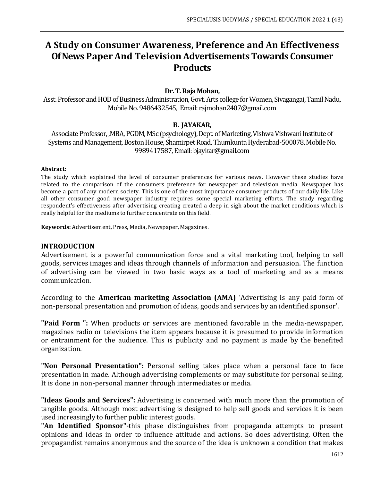# **A Study on Consumer Awareness, Preference and An Effectiveness Of News Paper And Television Advertisements Towards Consumer Products**

#### **Dr. T. Raja Mohan,**

Asst. Professor and HOD of Business Administration, Govt. Arts college for Women, Sivagangai, Tamil Nadu, Mobile No. 9486432545, Email: rajmohan2407@gmail.com

#### **B. JAYAKAR,**

Associate Professor, ,MBA, PGDM, MSc (psychology), Dept. of Marketing, Vishwa Vishwani Institute of Systems and Management, Boston House, Shamirpet Road, Thumkunta Hyderabad-500078, Mobile No. 9989417587, Email: bjaykar@gmail.com

#### **Abstract:**

The study which explained the level of consumer preferences for various news. However these studies have related to the comparison of the consumers preference for newspaper and television media. Newspaper has become a part of any modern society. This is one of the most importance consumer products of our daily life. Like all other consumer good newspaper industry requires some special marketing efforts. The study regarding respondent's effectiveness after advertising creating created a deep in sigh about the market conditions which is really helpful for the mediums to further concentrate on this field.

**Keywords:** Advertisement, Press, Media, Newspaper, Magazines.

#### **INTRODUCTION**

Advertisement is a powerful communication force and a vital marketing tool, helping to sell goods, services images and ideas through channels of information and persuasion. The function of advertising can be viewed in two basic ways as a tool of marketing and as a means communication.

According to the **American marketing Association (AMA)** 'Advertising is any paid form of non-personal presentation and promotion of ideas, goods and services by an identified sponsor'.

**"Paid Form ":** When products or services are mentioned favorable in the media-newspaper, magazines radio or televisions the item appears because it is presumed to provide information or entrainment for the audience. This is publicity and no payment is made by the benefited organization.

**"Non Personal Presentation":** Personal selling takes place when a personal face to face presentation in made. Although advertising complements or may substitute for personal selling. It is done in non-personal manner through intermediates or media.

**"Ideas Goods and Services":** Advertising is concerned with much more than the promotion of tangible goods. Although most advertising is designed to help sell goods and services it is been used increasingly to further public interest goods.

**"An Identified Sponsor"-**this phase distinguishes from propaganda attempts to present opinions and ideas in order to influence attitude and actions. So does advertising. Often the propagandist remains anonymous and the source of the idea is unknown a condition that makes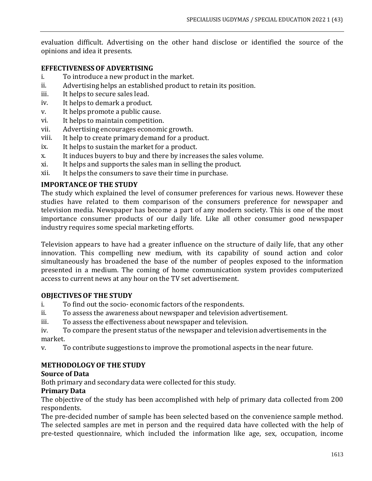evaluation difficult. Advertising on the other hand disclose or identified the source of the opinions and idea it presents.

## **EFFECTIVENESSOF ADVERTISING**

- i. To introduce a new product in the market.
- ii. Advertising helps an established product to retain its position.
- iii. It helps to secure sales lead.
- iv. It helps to demark a product.
- v. It helps promote a public cause.
- vi. It helps to maintain competition.
- vii. Advertising encourages economic growth.
- viii. It help to create primary demand for a product.
- ix. It helps to sustain the market for a product.
- x. It induces buyers to buy and there by increases the sales volume.
- xi. It helps and supports the sales man in selling the product.
- xii. It helps the consumers to save their time in purchase.

# **IMPORTANCE OF THE STUDY**

The study which explained the level of consumer preferences for various news. However these studies have related to them comparison of the consumers preference for newspaper and television media. Newspaper has become a part of any modern society. This is one of the most importance consumer products of our daily life. Like all other consumer good newspaper industry requires some special marketing efforts.

Television appears to have had a greater influence on the structure of daily life, that any other innovation. This compelling new medium, with its capability of sound action and color simultaneously has broadened the base of the number of peoples exposed to the information presented in a medium. The coming of home communication system provides computerized access to current news at any hour on the TV set advertisement.

# **OBJECTIVES OF THE STUDY**

- i. To find out the socio- economic factors of the respondents.
- ii. To assess the awareness about newspaper and television advertisement.
- iii. To assess the effectiveness about newspaper and television.
- iv. To compare the present status of the newspaper and television advertisements in the market.
- v. To contribute suggestions to improve the promotional aspects in the near future.

# **METHODOLOGYOF THE STUDY**

## **Source of Data**

Both primary and secondary data were collected for this study.

## **Primary Data**

The objective of the study has been accomplished with help of primary data collected from 200 respondents.

The pre-decided number of sample has been selected based on the convenience sample method. The selected samples are met in person and the required data have collected with the help of pre-tested questionnaire, which included the information like age, sex, occupation, income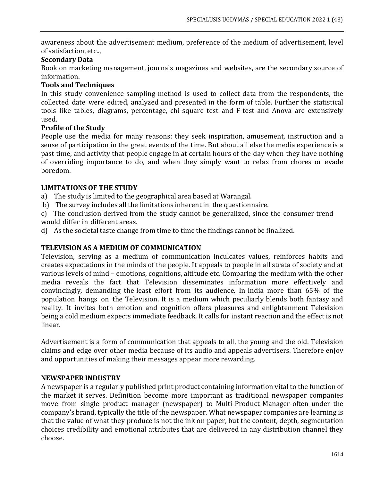awareness about the advertisement medium, preference of the medium of advertisement, level of satisfaction, etc..,

## **Secondary Data**

Book on marketing management, journals magazines and websites, are the secondary source of information.

# **Tools and Techniques**

In this study convenience sampling method is used to collect data from the respondents, the collected date were edited, analyzed and presented in the form of table. Further the statistical tools like tables, diagrams, percentage, chi-square test and F-test and Anova are extensively used.

#### **Profile of the Study**

People use the media for many reasons: they seek inspiration, amusement, instruction and a sense of participation in the great events of the time. But about all else the media experience is a past time, and activity that people engage in at certain hours of the day when they have nothing of overriding importance to do, and when they simply want to relax from chores or evade boredom.

## **LIMITATIONS OF THE STUDY**

a) The study is limited to the geographical area based at Warangal.

b) The survey includes all the limitations inherent in the questionnaire.

c) The conclusion derived from the study cannot be generalized, since the consumer trend would differ in different areas.

d) As the societal taste change from time to time the findings cannot be finalized.

## **TELEVISION AS A MEDIUM OF COMMUNICATION**

Television, serving as a medium of communication inculcates values, reinforces habits and creates expectations in the minds of the people. It appeals to people in all strata of society and at various levels of mind – emotions, cognitions, altitude etc. Comparing the medium with the other media reveals the fact that Television disseminates information more effectively and convincingly, demanding the least effort from its audience. In India more than 65% of the population hangs on the Television. It is a medium which peculiarly blends both fantasy and reality. It invites both emotion and cognition offers pleasures and enlightenment Television being a cold medium expects immediate feedback. It calls for instant reaction and the effect is not linear.

Advertisement is a form of communication that appeals to all, the young and the old. Television claims and edge over other media because of its audio and appeals advertisers. Therefore enjoy and opportunities of making their messages appear more rewarding.

#### **NEWSPAPER INDUSTRY**

A newspaper is a regularly published print product containing information vital to the function of the market it serves. Definition become more important as traditional newspaper companies move from single product manager (newspaper) to Multi-Product Manager-often under the company's brand, typically the title of the newspaper. What newspaper companies are learning is that the value of what they produce is not the ink on paper, but the content, depth, segmentation choices credibility and emotional attributes that are delivered in any distribution channel they choose.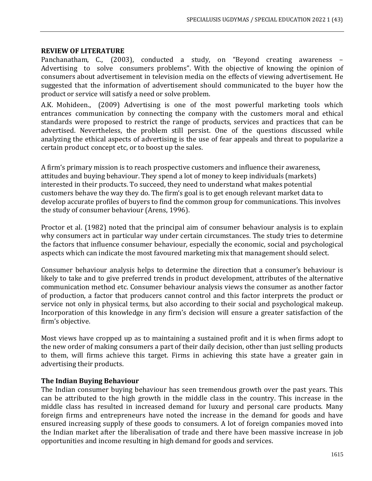## **REVIEW OF LITERATURE**

Panchanatham, C., (2003), conducted a study, on "Beyond creating awareness – Advertising to solve consumers problems". With the objective of knowing the opinion of consumers about advertisement in television media on the effects of viewing advertisement. He suggested that the information of advertisement should communicated to the buyer how the product or service will satisfy a need or solve problem.

A.K. Mohideen., (2009) Advertising is one of the most powerful marketing tools which entrances communication by connecting the company with the customers moral and ethical standards were proposed to restrict the range of products, services and practices that can be advertised. Nevertheless, the problem still persist. One of the questions discussed while analyzing the ethical aspects of advertising is the use of fear appeals and threat to popularize a certain product concept etc, or to boost up the sales.

A firm's primary mission is to reach prospective customers and influence their awareness, attitudes and buying behaviour. They spend a lot of money to keep individuals (markets) interested in their products. To succeed, they need to understand what makes potential customers behave the way they do. The firm's goal is to get enough relevant market data to develop accurate profiles of buyers to find the common group for communications. This involves the study of consumer behaviour (Arens, 1996).

Proctor et al. (1982) noted that the principal aim of consumer behaviour analysis is to explain why consumers act in particular way under certain circumstances. The study tries to determine the factors that influence consumer behaviour, especially the economic, social and psychological aspects which can indicate the most favoured marketing mix that management should select.

Consumer behaviour analysis helps to determine the direction that a consumer's behaviour is likely to take and to give preferred trends in product development, attributes of the alternative communication method etc. Consumer behaviour analysis views the consumer as another factor of production, a factor that producers cannot control and this factor interprets the product or service not only in physical terms, but also according to their social and psychological makeup. Incorporation of this knowledge in any firm's decision will ensure a greater satisfaction of the firm's objective.

Most views have cropped up as to maintaining a sustained profit and it is when firms adopt to the new order of making consumers a part of their daily decision, other than just selling products to them, will firms achieve this target. Firms in achieving this state have a greater gain in advertising their products.

#### **The Indian Buying Behaviour**

The Indian consumer buying behaviour has seen tremendous growth over the past years. This can be attributed to the high growth in the middle class in the country. This increase in the middle class has resulted in increased demand for luxury and personal care products. Many foreign firms and entrepreneurs have noted the increase in the demand for goods and have ensured increasing supply of these goods to consumers. A lot of foreign companies moved into the Indian market after the liberalisation of trade and there have been massive increase in job opportunities and income resulting in high demand for goods and services.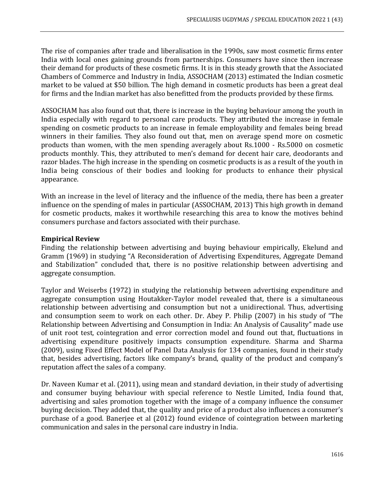The rise of companies after trade and liberalisation in the 1990s, saw most cosmetic firms enter India with local ones gaining grounds from partnerships. Consumers have since then increase their demand for products of these cosmetic firms. It is in this steady growth that the Associated Chambers of Commerce and Industry in India, ASSOCHAM (2013) estimated the Indian cosmetic market to be valued at \$50 billion. The high demand in cosmetic products has been a great deal for firms and the Indian market has also benefitted from the products provided by these firms.

ASSOCHAM has also found out that, there is increase in the buying behaviour among the youth in India especially with regard to personal care products. They attributed the increase in female spending on cosmetic products to an increase in female employability and females being bread winners in their families. They also found out that, men on average spend more on cosmetic products than women, with the men spending averagely about Rs.1000 - Rs.5000 on cosmetic products monthly. This, they attributed to men's demand for decent hair care, deodorants and razor blades. The high increase in the spending on cosmetic products is as a result of the youth in India being conscious of their bodies and looking for products to enhance their physical appearance.

With an increase in the level of literacy and the influence of the media, there has been a greater influence on the spending of males in particular (ASSOCHAM, 2013) This high growth in demand for cosmetic products, makes it worthwhile researching this area to know the motives behind consumers purchase and factors associated with their purchase.

## **Empirical Review**

Finding the relationship between advertising and buying behaviour empirically, Ekelund and Gramm (1969) in studying "A Reconsideration of Advertising Expenditures, Aggregate Demand and Stabilization" concluded that, there is no positive relationship between advertising and aggregate consumption.

Taylor and Weiserbs (1972) in studying the relationship between advertising expenditure and aggregate consumption using Houtakker-Taylor model revealed that, there is a simultaneous relationship between advertising and consumption but not a unidirectional. Thus, advertising and consumption seem to work on each other. Dr. Abey P. Philip (2007) in his study of "The Relationship between Advertising and Consumption in India: An Analysis of Causality" made use of unit root test, cointegration and error correction model and found out that, fluctuations in advertising expenditure positively impacts consumption expenditure. Sharma and Sharma (2009), using Fixed Effect Model of Panel Data Analysis for 134 companies, found in their study that, besides advertising, factors like company's brand, quality of the product and company's reputation affect the sales of a company.

Dr. Naveen Kumar et al. (2011), using mean and standard deviation, in their study of advertising and consumer buying behaviour with special reference to Nestle Limited, India found that, advertising and sales promotion together with the image of a company influence the consumer buying decision. They added that, the quality and price of a product also influences a consumer's purchase of a good. Banerjee et al (2012) found evidence of cointegration between marketing communication and sales in the personal care industry in India.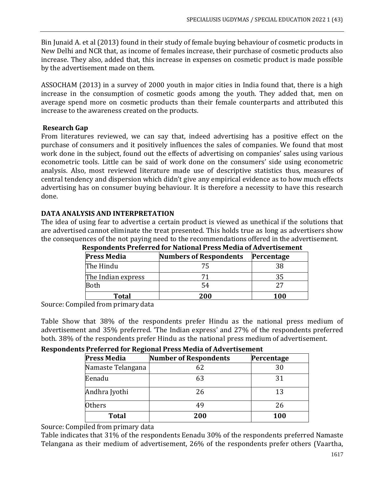Bin Junaid A. et al (2013) found in their study of female buying behaviour of cosmetic products in New Delhi and NCR that, as income of females increase, their purchase of cosmetic products also increase. They also, added that, this increase in expenses on cosmetic product is made possible by the advertisement made on them.

ASSOCHAM (2013) in a survey of 2000 youth in major cities in India found that, there is a high increase in the consumption of cosmetic goods among the youth. They added that, men on average spend more on cosmetic products than their female counterparts and attributed this increase to the awareness created on the products.

# **Research Gap**

From literatures reviewed, we can say that, indeed advertising has a positive effect on the purchase of consumers and it positively influences the sales of companies. We found that most work done in the subject, found out the effects of advertising on companies' sales using various econometric tools. Little can be said of work done on the consumers' side using econometric analysis. Also, most reviewed literature made use of descriptive statistics thus, measures of central tendency and dispersion which didn't give any empirical evidence as to how much effects advertising has on consumer buying behaviour. It is therefore a necessity to have this research done.

# **DATA ANALYSIS AND INTERPRETATION**

The idea of using fear to advertise a certain product is viewed as unethical if the solutions that are advertised cannot eliminate the treat presented. This holds true as long as advertisers show the consequences of the not paying need to the recommendations offered in the advertisement.

| <b>Numbers of Respondents</b> | Percentage |  |  |
|-------------------------------|------------|--|--|
| 75                            | 38         |  |  |
|                               | 35         |  |  |
| 54                            | 27         |  |  |
| 200                           | 100        |  |  |
|                               |            |  |  |

**Respondents Preferred for National Press Media of Advertisement**

Source: Compiled from primary data

Table Show that 38% of the respondents prefer Hindu as the national press medium of advertisement and 35% preferred. 'The Indian express' and 27% of the respondents preferred both. 38% of the respondents prefer Hindu as the national press medium of advertisement.

## **Respondents Preferred for Regional Press Media of Advertisement**

| <b>Press Media</b> | <b>Number of Respondents</b> | Percentage |
|--------------------|------------------------------|------------|
| Namaste Telangana  | 62                           | 30         |
| Eenadu             | 63                           | 31         |
| Andhra Jyothi      | 26                           | 13         |
| <b>Others</b>      | 49                           | 26         |
| <b>Total</b>       | 200                          | 100        |

Source: Compiled from primary data

Table indicates that 31% of the respondents Eenadu 30% of the respondents preferred Namaste Telangana as their medium of advertisement, 26% of the respondents prefer others (Vaartha,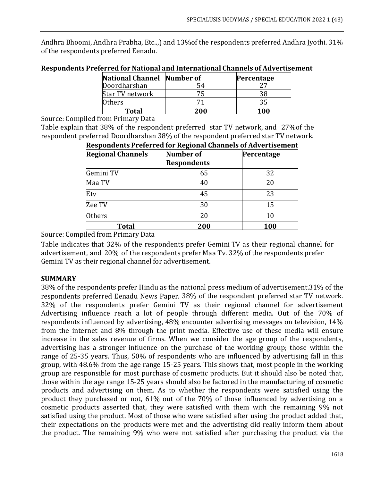Andhra Bhoomi, Andhra Prabha, Etc..,) and 13%of the respondents preferred Andhra Jyothi. 31% of the respondents preferred Eenadu.

| <b>National Channel Number of</b> | Percentage |
|-----------------------------------|------------|
| Doordharshan                      |            |
| Star TV network                   |            |
| )thers                            |            |
| Total                             |            |

#### **Respondents Preferred for National and International Channels of Advertisement**

Source: Compiled from Primary Data

Table explain that 38% of the respondent preferred star TV network, and 27%of the respondent preferred Doordharshan 38% of the respondent preferred star TV network.

| <b>Regional Channels</b> | Number of<br><b>Respondents</b> | Percentage |
|--------------------------|---------------------------------|------------|
| Gemini TV                | 65                              | 32         |
| Maa TV                   | 40                              | 20         |
| Etv                      | 45                              | 23         |
| Zee TV                   | 30                              | 15         |
| <b>Others</b>            | 20                              | 10         |
| <b>Total</b>             | 200                             | 100        |

# **Respondents Preferred for Regional Channels of Advertisement**

Source: Compiled from Primary Data

Table indicates that 32% of the respondents prefer Gemini TV as their regional channel for advertisement, and 20% of the respondents prefer Maa Tv. 32% of the respondents prefer Gemini TV as their regional channel for advertisement.

## **SUMMARY**

38% of the respondents prefer Hindu as the national press medium of advertisement.31% of the respondents preferred Eenadu News Paper. 38% of the respondent preferred star TV network. 32% of the respondents prefer Gemini TV as their regional channel for advertisement Advertising influence reach a lot of people through different media. Out of the 70% of respondents influenced by advertising, 48% encounter advertising messages on television, 14% from the internet and 8% through the print media. Effective use of these media will ensure increase in the sales revenue of firms. When we consider the age group of the respondents, advertising has a stronger influence on the purchase of the working group; those within the range of 25-35 years. Thus, 50% of respondents who are influenced by advertising fall in this group, with 48.6% from the age range 15-25 years. This shows that, most people in the working group are responsible for most purchase of cosmetic products. But it should also be noted that, those within the age range 15-25 years should also be factored in the manufacturing of cosmetic products and advertising on them. As to whether the respondents were satisfied using the product they purchased or not, 61% out of the 70% of those influenced by advertising on a cosmetic products asserted that, they were satisfied with them with the remaining 9% not satisfied using the product. Most of those who were satisfied after using the product added that, their expectations on the products were met and the advertising did really inform them about the product. The remaining 9% who were not satisfied after purchasing the product via the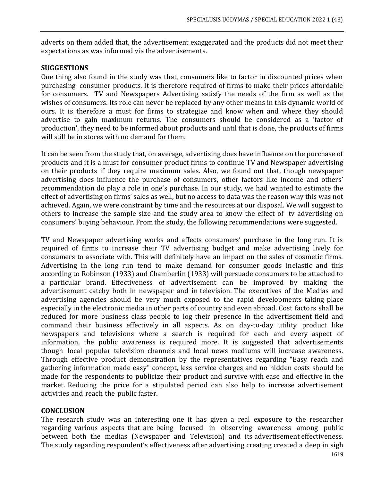adverts on them added that, the advertisement exaggerated and the products did not meet their expectations as was informed via the advertisements.

## **SUGGESTIONS**

One thing also found in the study was that, consumers like to factor in discounted prices when purchasing consumer products. It is therefore required of firms to make their prices affordable for consumers. TV and Newspapers Advertising satisfy the needs of the firm as well as the wishes of consumers. Its role can never be replaced by any other means in this dynamic world of ours. It is therefore a must for firms to strategize and know when and where they should advertise to gain maximum returns. The consumers should be considered as a 'factor of production', they need to be informed about products and until that is done, the products of firms will still be in stores with no demand for them.

It can be seen from the study that, on average, advertising does have influence on the purchase of products and it is a must for consumer product firms to continue TV and Newspaper advertising on their products if they require maximum sales. Also, we found out that, though newspaper advertising does influence the purchase of consumers, other factors like income and others' recommendation do play a role in one's purchase. In our study, we had wanted to estimate the effect of advertising on firms' sales as well, but no access to data was the reason why this was not achieved. Again, we were constraint by time and the resources at our disposal. We will suggest to others to increase the sample size and the study area to know the effect of tv advertising on consumers' buying behaviour. From the study, the following recommendations were suggested.

TV and Newspaper advertising works and affects consumers' purchase in the long run. It is required of firms to increase their TV advertising budget and make advertising lively for consumers to associate with. This will definitely have an impact on the sales of cosmetic firms. Advertising in the long run tend to make demand for consumer goods inelastic and this according to Robinson (1933) and Chamberlin (1933) will persuade consumers to be attached to a particular brand. Effectiveness of advertisement can be improved by making the advertisement catchy both in newspaper and in television. The executives of the Medias and advertising agencies should be very much exposed to the rapid developments taking place especially in the electronic media in other parts of country and even abroad. Cost factors shall be reduced for more business class people to log their presence in the advertisement field and command their business effectively in all aspects. As on day-to-day utility product like newspapers and televisions where a search is required for each and every aspect of information, the public awareness is required more. It is suggested that advertisements though local popular television channels and local news mediums will increase awareness. Through effective product demonstration by the representatives regarding "Easy reach and gathering information made easy" concept, less service charges and no hidden costs should be made for the respondents to publicize their product and survive with ease and effective in the market. Reducing the price for a stipulated period can also help to increase advertisement activities and reach the public faster.

## **CONCLUSION**

The research study was an interesting one it has given a real exposure to the researcher regarding various aspects that are being focused in observing awareness among public between both the medias (Newspaper and Television) and its advertisement effectiveness. The study regarding respondent's effectiveness after advertising creating created a deep in sigh